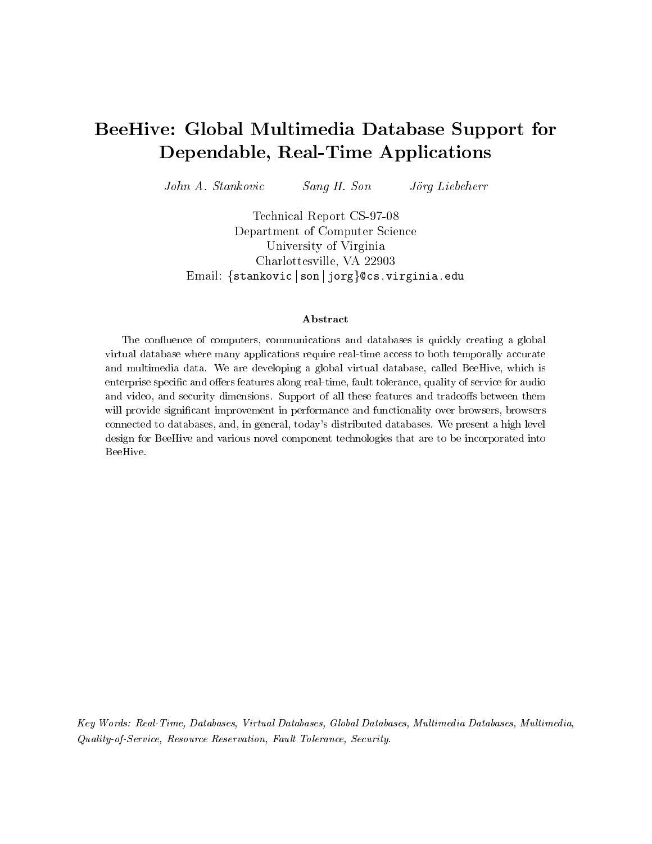# BeeHive- Global Multimedia Database Support for Dependable, Real-Time Applications

John A. Stankovic Sang H. Son Jörg Liebeherr

Technical Report CS-- Department of Computer Science University of Virginia Charlottesville, VA 22903  $\operatorname{Email:}$   $\{ \verb|stantovic| \verb|son| | \verb|jorg| \verb|@cs. virginia.edu|$ 

### Abstract

The con-uence of computers communications and databases is quickly creating <sup>a</sup> global virtual database where many applications require real-time access to both temporally accurate and multipedia data Western and database called BeeHive which is a global database called BeeHive which is a second enterprise specific and offers features along real-time, fault tolerance, quality of service for audio and video, and security dimensions. Support of an these reatures and tradeons between them will provide significant improvement in performance and functionality over browsers, browsers connected to databases and in general todays distributed databases We present a high leveldesign for BeeHive and various novel component technologies that are to be incorporated intoBeeHive

AAS II SI WORDS-ANSWER ON DATABASES ON DATABASES WEWER WERD WERE WERE DATED ON WHEN WERE ONE ONE ONLY THE WEEKENDED ON THE WEEKENDED ON THE WEEKENDED ON THE WEEKENDED ON THE WEEKENDED ON THE WEEKENDED ON THE WEEKENDED ON T Quality-of-Service, Resource Reservation, Fault Tolerance, Security.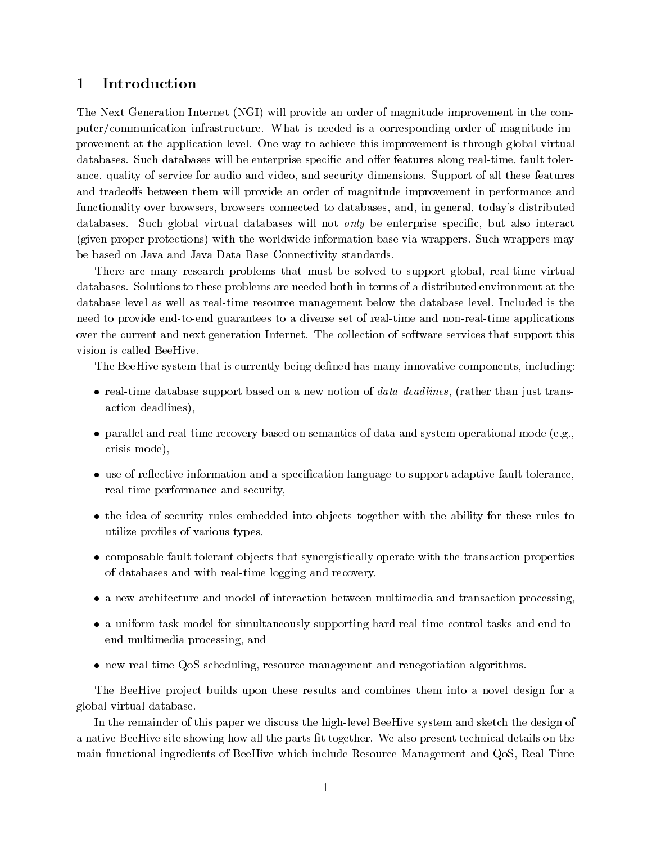### Introduction 1

The Next Generation Internet -NGI will provide an order of magnitude improvement in the com puter/communication infrastructure. What is needed is a corresponding order of magnitude improvement at the application level. One way to achieve this improvement is through global virtual databases. Such databases will be enterprise specific and offer features along real-time, fault tolerance, quality of service for audio and video, and security dimensions. Support of all these features and tradeoffs between them will provide an order of magnitude improvement in performance and functionality over browsers browsers connected to databases and in general today s distributed databases. Such global virtual databases will not *only* be enterprise specific, but also interact -given proper protections with the worldwide information base via wrappers Such wrappers may be based on Java and Java Data Base Connectivity standards

There are many research problems that must be solved to support global, real-time virtual databases. Solutions to these problems are needed both in terms of a distributed environment at the database level as well as real-time resource management below the database level. Included is the need to provide end-to-end guarantees to a diverse set of real-time and non-real-time applications over the current and next generation Internet. The collection of software services that support this vision is called BeeHive

The BeeHive system that is currently being defined has many innovative components, including:

- $\bullet$  real-time database support based on a new notion of *data deadlines*, (rather than just transaction deadlines
- $\bullet\,$  parallel and real-time recovery based on semantics of data and system operational mode (e.g.,  $\,$ crisis mode
- $\bullet\,$  use of reflective information and a specification language to support adaptive fault tolerance, real-time performance and security,
- $\bullet$  the idea of security rules embedded into objects together with the ability for these rules to utilize profiles of various types,
- $\bullet$  composable fault tolerant objects that synergistically operate with the transaction properties of databases and with real-time logging and recovery,
- $\bullet$  a new architecture and model of interaction between multimedia and transaction processing,
- $\bullet$  a uniform task model for simultaneously supporting hard real-time control tasks and end-toend multimedia processing, and
- $\bullet\,$  new real-time QoS scheduling, resource management and renegotiation algorithms.

The BeeHive project builds upon these results and combines them into a novel design for a global virtual database

In the remainder of this paper we discuss the high-level BeeHive system and sketch the design of a native BeeHive site showing how all the parts fit together. We also present technical details on the main functional ingredients of BeeHive which include Resource Management and QoS RealTime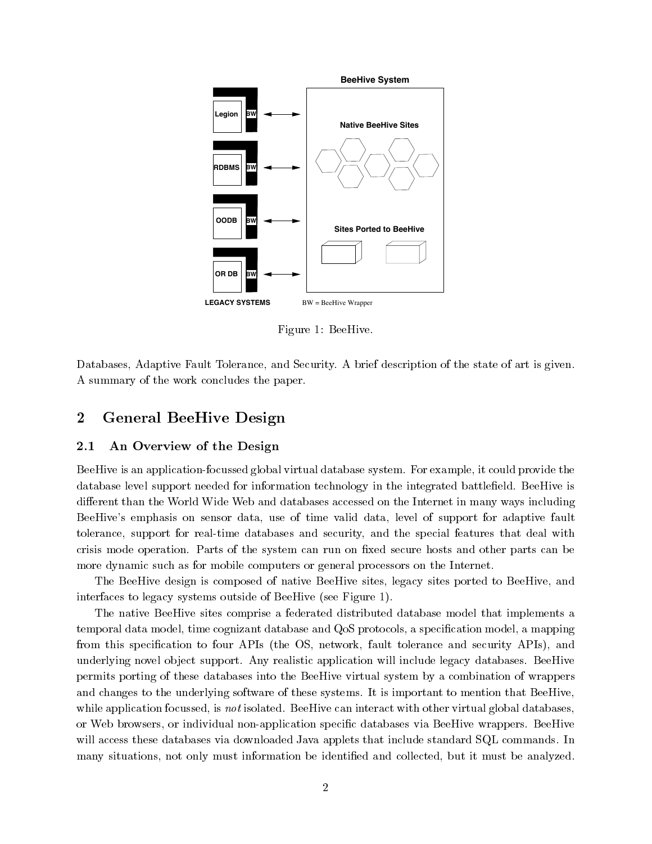

Figure 1: BeeHive.

Databases, Adaptive Fault Tolerance, and Security. A brief description of the state of art is given. A summary of the work concludes the paper

### $\overline{2}$ General BeeHive Design

#### 2.1 An Overview of the Design

BeeHive is an application-focussed global virtual database system. For example, it could provide the database level support needed for information technology in the integrated battlefield. BeeHive is different than the World Wide Web and databases accessed on the Internet in many ways including s extent of the phasis on sensor datably data as indice that datably for a support for adaptive factor. tolerance, support for real-time databases and security, and the special features that deal with crisis mode operation. Parts of the system can run on fixed secure hosts and other parts can be more dynamic such as for mobile computers or general processors on the Internet

The BeeHive design is composed of native BeeHive sites, legacy sites ported to BeeHive, and interfaces to legacy systems outside of BeeHive (see Began - ).

The native BeeHive sites comprise a federated distributed database model that implements a temporal data model, time cognizant database and QoS protocols, a specification model, a mapping from this specication to four APIs -the OS network fault tolerance and security APIs and underlying novel object support. Any realistic application will include legacy databases. BeeHive permits porting of these databases into the BeeHive virtual system by a combination of wrappers and changes to the underlying software of these systems. It is important to mention that BeeHive, while application focussed, is not isolated. BeeHive can interact with other virtual global databases. or Web browsers, or individual non-application specific databases via BeeHive wrappers. BeeHive will access these databases via downloaded Java applets that include standard SQL commands. In many situations, not only must information be identified and collected, but it must be analyzed.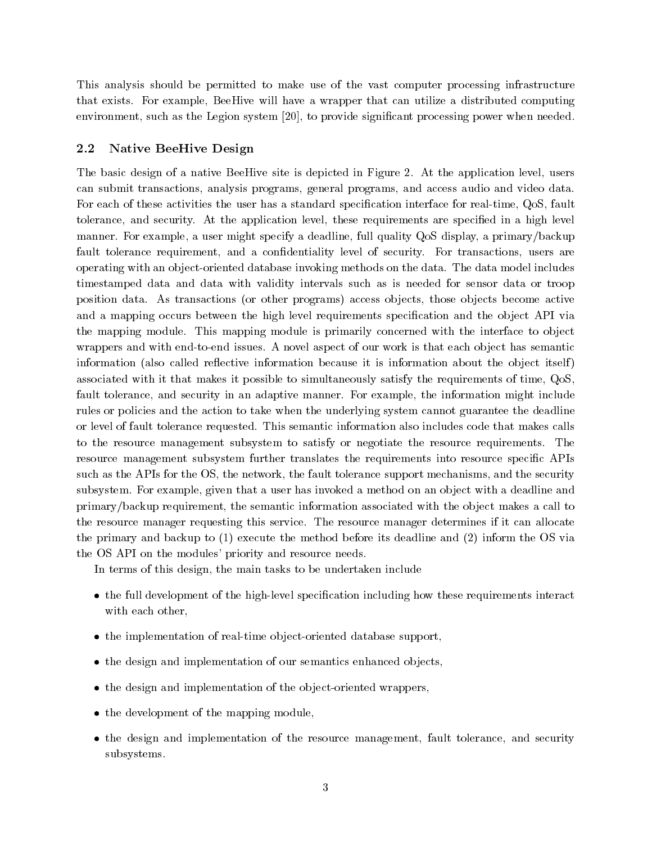This analysis should be permitted to make use of the vast computer processing infrastructure that exists. For example, BeeHive will have a wrapper that can utilize a distributed computing environment, such as the Legion system  $\lbrack 20 \rbrack$ , to provide significant processing power when needed.

#### 2.2 Native BeeHive Design

The basic design of a native BeeHive site is depicted in Figure 2. At the application level, users can submit transactions, analysis programs, general programs, and access audio and video data. For each of these activities the user has a standard specification interface for real-time, QoS, fault tolerance, and security. At the application level, these requirements are specified in a high level manner. For example, a user might specify a deadline, full quality  $Q_0S$  display, a primary/backup fault tolerance requirement, and a confidentiality level of security. For transactions, users are operating with an object-oriented database invoking methods on the data. The data model includes timestamped data and data with validity intervals such as is needed for sensor data or troop position data as transactions - the programs programs activity three active active active active active and a mapping occurs between the high level requirements specification and the object API via the mapping module. This mapping module is primarily concerned with the interface to object wrappers and with end-to-end issues. A novel aspect of our work is that each object has semantic information -also called reective information because it is information about the ob ject itself associated with it that makes it possible to simultaneously satisfy the requirements of time, QoS. fault tolerance, and security in an adaptive manner. For example, the information might include rules or policies and the action to take when the underlying system cannot guarantee the deadline or level of fault tolerance requested. This semantic information also includes code that makes calls to the resource management subsystem to satisfy or negotiate the resource requirements The resource management subsystem further translates the requirements into resource specific APIs such as the APIs for the OS, the network, the fault tolerance support mechanisms, and the security subsystem. For example, given that a user has invoked a method on an object with a deadline and primary/backup requirement, the semantic information associated with the object makes a call to the resource manager requesting this service. The resource manager determines if it can allocate the primary and backup to - execute the method before its deadline and - inform the OS via the OS API on the modules priority and resource needs

In terms of this design, the main tasks to be undertaken include

- $\bullet\,$  the full development of the high-level specification including how these requirements interact  $\,$ with each other,
- $\bullet\,$  the implementation of real-time object-oriented database support,
- $\bullet\,$  the design and implementation of our semantics enhanced objects,  $\,$
- $\bullet$  the design and implementation of the object-oriented wrappers,
- $\bullet\,$  the development of the mapping module,
- $\bullet$  the design and implementation of the resource management, fault tolerance, and security subsystems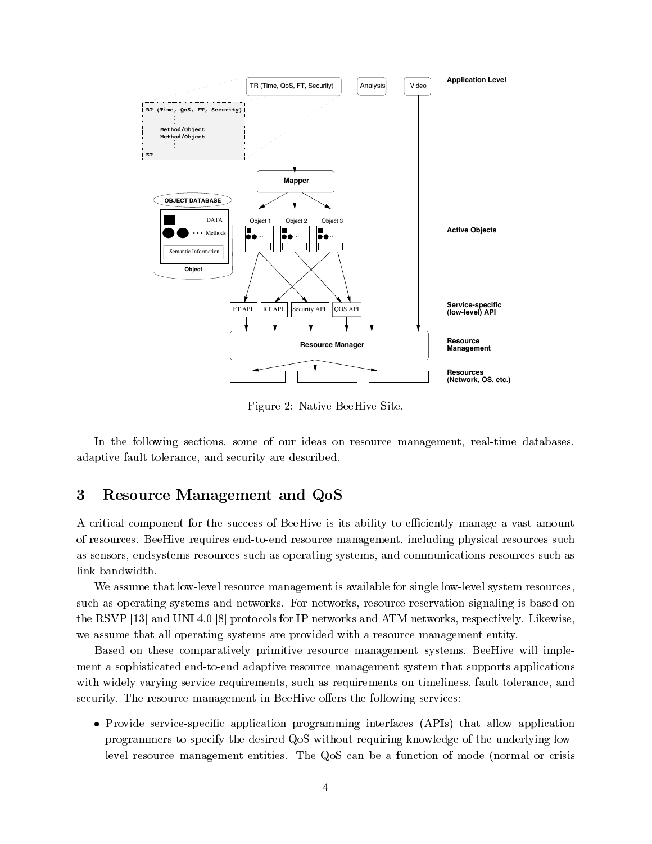

Figure 2: Native BeeHive Site.

In the following sections, some of our ideas on resource management, real-time databases, adaptive fault tolerance, and security are described.

### 3 Resource Management and QoS

A critical component for the success of BeeHive is its ability to efficiently manage a vast amount of resources. BeeHive requires end-to-end resource management, including physical resources such as sensors, endsystems resources such as operating systems, and communications resources such as link bandwidth

We assume that low-level resource management is available for single low-level system resources. such as operating systems and networks. For networks, resource reservation signaling is based on the RSVP  $[13]$  and UNI 4.0  $[8]$  protocols for IP networks and ATM networks, respectively. Likewise, we assume that all operating systems are provided with a resource management entity.

Based on these comparatively primitive resource management systems, BeeHive will implement a sophisticated end-to-end adaptive resource management system that supports applications with widely varying service requirements, such as requirements on timeliness, fault tolerance, and security. The resource management in BeeHive offers the following services:

 $\bullet$  Provide service-specific application programming interfaces (APIs) that allow application programmers to specify the desired QoS without requiring knowledge of the underlying low level resource management entities The QoS can be a function of mode -normal or crisis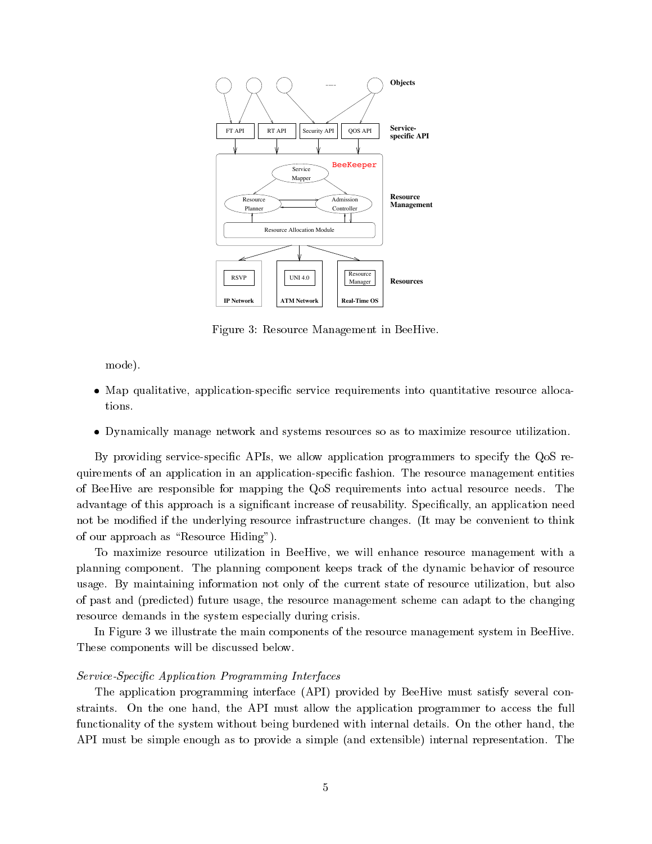

Figure 3: Resource Management in BeeHive.

mode).

- $\bullet$  Map qualitative, application-specific service requirements into quantitative resource alloca-
- $\bullet$  Dynamically manage network and systems resources so as to maximize resource utilization.

By providing service-specific APIs, we allow application programmers to specify the QoS requirements of an application in an application-specific fashion. The resource management entities of BeeHive are responsible for mapping the QoS requirements into actual resource needs The advantage of this approach is a significant increase of reusability. Specifically, an application need  $\mathbf{u}$  the underlying resource infrastructure changes  $\mathbf{u}$ of our approach as "Resource Hiding").

To maximize resource utilization in BeeHive, we will enhance resource management with a planning component The planning component keeps track of the dynamic behavior of resource usage. By maintaining information not only of the current state of resource utilization, but also of past and - predicted function and - predicted function adapt the resource management scheme can adapte the resource demands in the system especially during crisis

In Figure 3 we illustrate the main components of the resource management system in BeeHive. These components will be discussed below

### Service-Specic Application Programming Interfaces

The application programming interface -API provided by BeeHive must satisfy several con straints. On the one hand, the API must allow the application programmer to access the full functionality of the system without being burdened with internal details. On the other hand, the API must be simple enough asto provide a simple -and extensible internal representation The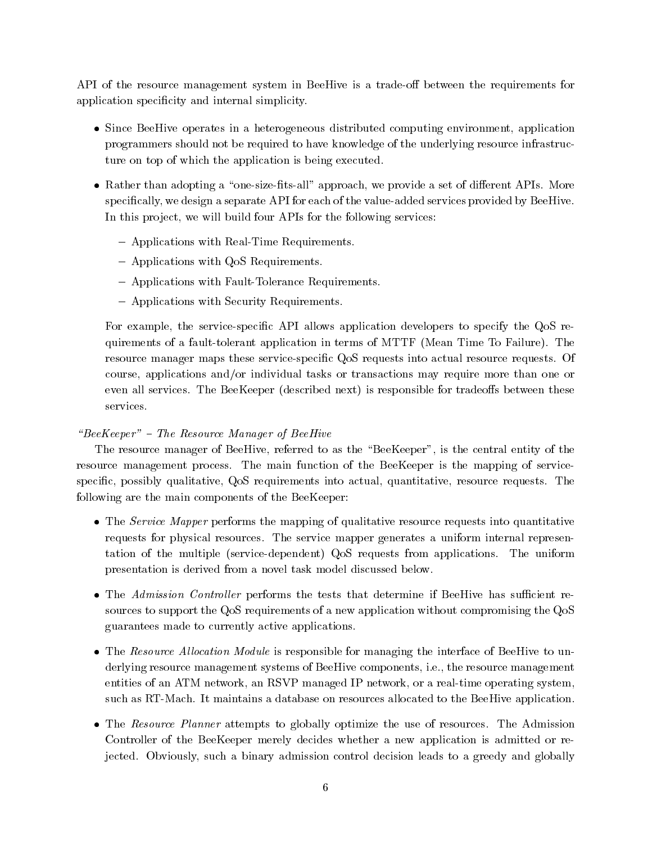API of the resource management system in BeeHive is a trade-off between the requirements for application specificity and internal simplicity.

- $\bullet$  since BeeHive operates in a neterogeneous distributed computing environment, application programmers should not be required to have knowledge of the underlying resource infrastruc ture on top of which the application is being executed
- $\bullet$  Kather than adopting a "one-size-fits-all" approach, we provide a set of different APIs. More specifically, we design a separate API for each of the value-added services provided by BeeHive. In this project, we will build four APIs for the following services:
	- $-$  Applications with Real-Time Requirements.
	- Applications with QoS Requirements.
	- Applications with Fault-Tolerance Requirements.
	- Applications with Security Requirements

For example, the service-specific API allows application developers to specify the QoS requirements of <sup>a</sup> faulttolerant application in terms of MTTF -Mean Time To Failure The resource manager maps these service-specific QoS requests into actual resource requests. Of course, applications and/or individual tasks or transactions may require more than one or even all services The BeeKeeper -described next is responsible for tradeos between these services

### "BeeKeeper" - The Resource Manager of BeeHive

The resource manager of BeeHive, referred to as the "BeeKeeper", is the central entity of the resource management process. The main function of the BeeKeeper is the mapping of servicespecific, possibly qualitative, QoS requirements into actual, quantitative, resource requests. The following are the main components of the BeeKeeper:

- $\bullet$  The *Service Mapper* performs the mapping of qualitative resource requests into quantitative requests for physical resources. The service mapper generates a uniform internal representation of the multiple -servicedependent QoS requests from applications The uniform presentation is derived from a novel task model discussed below
- $\bullet$  The *Aamission Controller* performs the tests that determine if BeeHive has sufficient resources to support the QoS requirements of a new application without compromising the QoS guarantees made to currently active applications
- $\bullet$  The *Resource Allocation Module* is responsible for managing the interface of BeeHive to underlying resource management systems of BeeHive components, i.e., the resource management entities of an ATM network, an RSVP managed IP network, or a real-time operating system. such as RT-Mach. It maintains a database on resources allocated to the BeeHive application.
- $\bullet$  The *Resource Planner* attempts to globally optimize the use of resources. The Admission Controller of the BeeKeeper merely decides whether a new application is admitted or re jected. Obviously, such a binary admission control decision leads to a greedy and globally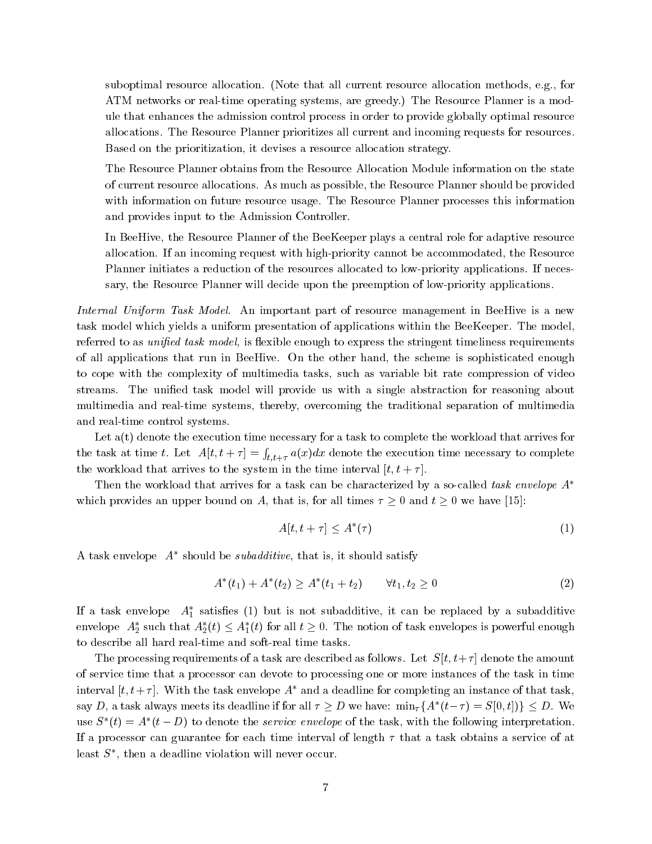suboptimal resource allocation -Note that all current resource allocation methods eg for ATM networks or real-time operating systems, are greedy.) The Resource Planner is a module that enhances the admission control process in order to provide globally optimal resource allocations The Resource Planner prioritizes all current and incoming requests for resources Based on the prioritization, it devises a resource allocation strategy.

The Resource Planner obtains from the Resource Allocation Module information on the state of current resource allocations. As much as possible, the Resource Planner should be provided with information on future resource usage. The Resource Planner processes this information and provides input to the Admission Controller

In BeeHive, the Resource Planner of the BeeKeeper plays a central role for adaptive resource allocation. If an incoming request with high-priority cannot be accommodated, the Resource Planner initiates a reduction of the resources allocated to low-priority applications. If necessary, the Resource Planner will decide upon the preemption of low-priority applications.

Internal Uniform Task Model. An important part of resource management in BeeHive is a new task model which yields a uniform presentation of applications within the BeeKeeper. The model, referred to as *unified task model*, is flexible enough to express the stringent timeliness requirements of all applications that run in BeeHive. On the other hand, the scheme is sophisticated enough to cope with the complexity of multimedia tasks, such as variable bit rate compression of video streams. The unified task model will provide us with a single abstraction for reasoning about multimedia and real-time systems, thereby, overcoming the traditional separation of multimedia and real-time control systems.

Let a-t denote the execution time necessary for a task to complete the workload that arrives for the task at time t. Let  $A[t, t + \tau] = \int_{t, t + \tau} a(x) dx$  denote the execution time necessary to complete the workload that arrives to the system in the system in the time in the time interval t-time interval t-time i

Then the workload that arrives for a task can be characterized by a so-called task envelope  $A^*$ which provides an upper bound on A, that is, for all times  $\tau \geq 0$  and  $t \geq 0$  we have [15]:

$$
A[t, t + \tau] \le A^*(\tau) \tag{1}
$$

A task envelope  $A^*$  should be *subadditive*, that is, it should satisfy

$$
A^*(t_1) + A^*(t_2) \ge A^*(t_1 + t_2) \qquad \forall t_1, t_2 \ge 0 \tag{2}
$$

It a task envelope  $A_1$  satisfies (1) but is not subadditive, it can be replaced by a subadditive envelope  $\ A_2^*$  such that  $A_2^*(t)\leq A_1^*(t)$  for all  $t\geq 0.$  The notion of task envelopes is powerful enough to describe all hard real-time and soft-real time tasks.

The processing requirements of a task are described as follows Let  $\mathcal{L}_{\mathcal{A}}$  to a the amount  $\mathcal{L}_{\mathcal{A}}$ of service time that a processor can devote to processing one or more instances of the task in time interval  $[t, t+\tau]$ . With the task envelope  $A$  -and a deadline for completing an instance of that task, say  $D,$  a task always meets its deadline if for all  $\tau \geq D$  we have:  $\min_{\tau} \{A^*(t-\tau) = S[0,t])\} \leq D.$  We use  $S_-(t) = A_-(t - D)$  to denote the *service envelope* of the task, with the following interpretation. If a processor can guarantee for each time interval of length  $\tau$  that a task obtains a service of at ieast  $S$  , then a deadline violation will never occur.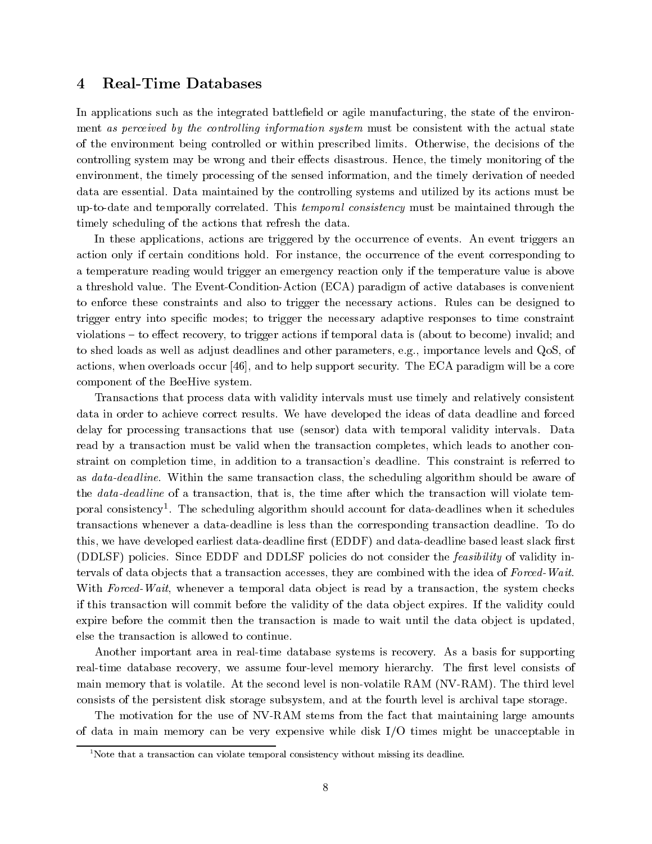# 4 Real-Time Databases

In applications such as the integrated battlefield or agile manufacturing, the state of the environment as perceived by the controlling information system must be consistent with the actual state of the environment being controlled or within prescribed limits. Otherwise, the decisions of the controlling system may be wrong and their effects disastrous. Hence, the timely monitoring of the environment, the timely processing of the sensed information, and the timely derivation of needed data are essential. Data maintained by the controlling systems and utilized by its actions must be up-to-date and temporally correlated. This *temporal consistency* must be maintained through the timely scheduling of the actions that refresh the data

In these applications, actions are triggered by the occurrence of events. An event triggers an action only if certain conditions hold. For instance, the occurrence of the event corresponding to a temperature reading would trigger an emergency reaction only if the temperature value is above a threshold value  $\mathbb{R}$  paradigm of active databases is convenient of active databases is convenient of a to enforce these constraints and also to trigger the necessary actions Rules can be designed to trigger entry into specific modes; to trigger the necessary adaptive responses to time constraint  $\mathbf{v}$  to the coversy to trigger actions if the covers if the covers is - about to become invariant and  $\mathbf{v}$ to shed loads as well as adjust deadlines and other parameters, e.g., importance levels and QoS, of actions, when overloads occur  $[46]$ , and to help support security. The ECA paradigm will be a core component of the BeeHive system

Transactions that process data with validity intervals must use timely and relatively consistent data in order to achieve correct results. We have developed the ideas of data deadline and forced delay for processing transactions that use  $\{1,2,3,4\}$  with temporal values  $\{1,3,4\}$  intervals  $\{2,4,5\}$ read by a transaction must be valid when the transaction completes, which leads to another constraint on completion time in addition to a transaction s deadline This constraint is referred to as data-dead line within the same transaction class the same transaction class the same of a scheduling algorit the data-dead line of a transaction of the time after the time after which the time the time temperature tempe poral consistency - The scheduling algorithm should account for data-deadlines when it schedules transactions whenever a data-deadline is less than the corresponding transaction deadline. To do this we have developed earliest datadeadline rst -EDDF and datadeadline based least slack rst -DDLSF policies Since EDDF and DDLSF policies do not consider the feasibility of validity in tervals of data ob jects that a transaction accesses they are combined with the idea of Forced-Wait With Force a temporal data observer a temporal data observer a temporal data observer a transaction of the system checks. if this transaction will commit before the validity of the data ob ject expires If the validity could expire before the commit then the transaction is made to wait until the data object is updated. else the transaction is allowed to continue

Another important area in real-time database systems is recovery. As a basis for supporting real-time database recovery, we assume four-level memory hierarchy. The first level consists of main memory that is voltated and the second level is non-volatile at the third  $\mathcal{C}$ consists of the persistent disk storage subsystem, and at the fourth level is archival tape storage.

The motivation for the use of NV-RAM stems from the fact that maintaining large amounts of data in main memory can be very expensive while disk  $I/O$  times might be unacceptable in

<sup>&</sup>lt;sup>1</sup>Note that a transaction can violate temporal consistency without missing its deadline.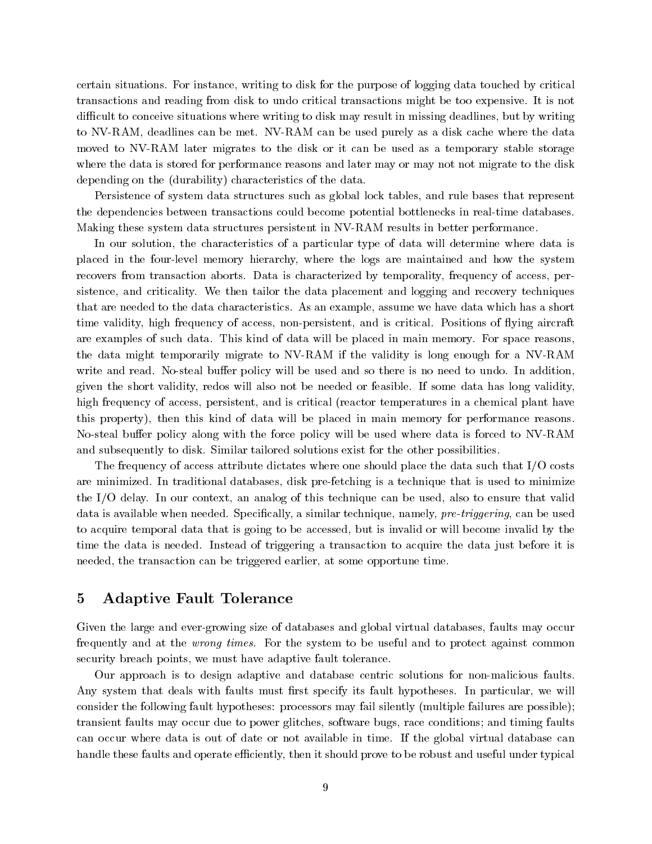certain situations. For instance, writing to disk for the purpose of logging data touched by critical transactions and reading from disk to undo critical transactions might be too expensive It is not difficult to conceive situations where writing to disk may result in missing deadlines, but by writing to NV-RAM, deadlines can be met. NV-RAM can be used purely as a disk cache where the data moved to NV-RAM later migrates to the disk or it can be used as a temporary stable storage where the data is stored for performance reasons and later may or may not not migrate to the disk depending on the -durability characteristics of the data

Persistence of system data structures such as global lock tables, and rule bases that represent the dependencies between transactions could become potential bottlenecks in real-time databases. Making these system data structures persistent in NV-RAM results in better performance.

In our solution, the characteristics of a particular type of data will determine where data is placed in the four-level memory hierarchy, where the logs are maintained and how the system recovers from transaction aborts. Data is characterized by temporality, frequency of access, persistence, and criticality. We then tailor the data placement and logging and recovery techniques that are needed to the data characteristics. As an example, assume we have data which has a short time validity, high frequency of access, non-persistent, and is critical. Positions of flying aircraft are examples of such data. This kind of data will be placed in main memory. For space reasons, the data might temporarily migrate to NV-RAM if the validity is long enough for a NV-RAM write and read. No-steal buffer policy will be used and so there is no need to undo. In addition. given the short validity, redos will also not be needed or feasible. If some data has long validity, high frequency of access persistent and is critical -reactor temperatures in a chemical plant have this property), then this kind of data will be placed in main memory for performance reasons. No-steal buffer policy along with the force policy will be used where data is forced to NV-RAM and subsequently to disk. Similar tailored solutions exist for the other possibilities.

The frequency of access attribute dictates where one should place the data such that  $I/O$  costs are minimized. In traditional databases, disk pre-fetching is a technique that is used to minimize the I/O delay. In our context, an analog of this technique can be used, also to ensure that valid data is available when needed Specially a similar technique, manifest pre- or equering technique and the used to acquire temporal data that is going to be accessed, but is invalid or will become invalid by the time the data is needed. Instead of triggering a transaction to acquire the data just before it is needed, the transaction can be triggered earlier, at some opportune time.

### Adaptive Fault Tolerance  $\overline{5}$

Given the large and ever-growing size of databases and global virtual databases, faults may occur frequently and at the *wrong times*. For the system to be useful and to protect against common security breach points, we must have adaptive fault tolerance.

Our approach is to design adaptive and database centric solutions for non-malicious faults. Any system that deals with faults must first specify its fault hypotheses. In particular, we will consider the following fault hypotheses processors may fail silently -multiple failures are possible transient faults may occur due to power glitches, software bugs, race conditions; and timing faults can occur where data is out of date or not available in time If the global virtual database can handle these faults and operate efficiently, then it should prove to be robust and useful under typical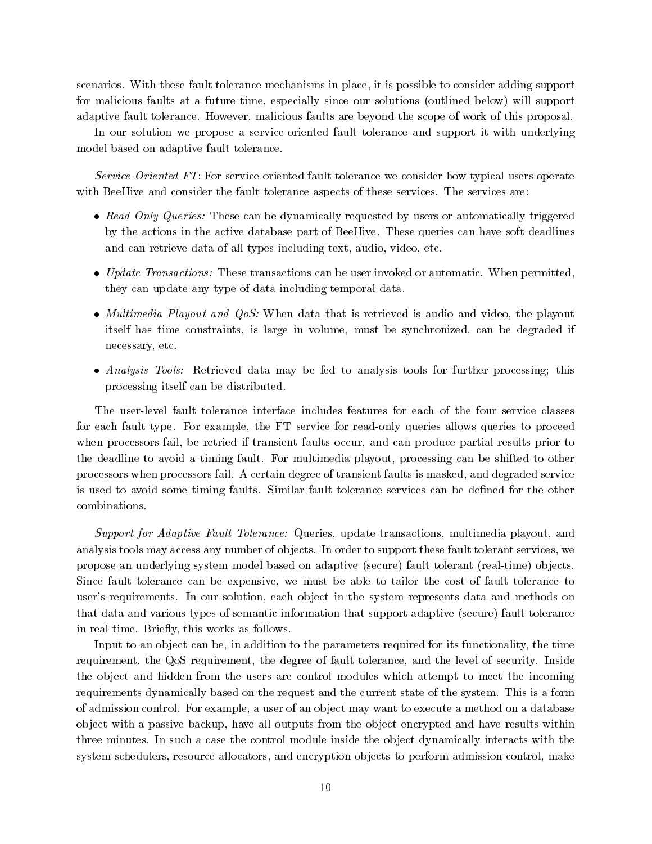scenarios. With these fault tolerance mechanisms in place, it is possible to consider adding support for malicious faults at a future time especially since our solutions -outlined below will support adaptive fault tolerance. However, malicious faults are beyond the scope of work of this proposal.

In our solution we propose a service-oriented fault tolerance and support it with underlying model based on adaptive fault tolerance

Service-Oriented FT For serviceoriented fault tolerance we consider how typical users operate with BeeHive and consider the fault tolerance aspects of these services. The services are:

- $\bullet$  *Read Only Queries:* These can be dynamically requested by users or automatically triggered by the actions in the active database part of BeeHive These queries can have soft deadlines and can retrieve data of all types including text, audio, video, etc.
- $\bullet$  *Update Transactions:* These transactions can be user invoked or automatic. When permitted, they can update any type of data including temporal data
- $\bullet$  *Multimedia Playout and QoS:* When data that is retrieved is audio and video, the playout itself has time constraints, is large in volume, must be synchronized, can be degraded if necessary, etc.
- $\bullet$  *Analysis Tools:* Retrieved data may be fed to analysis tools for further processing; this processing itself can be distributed

The user-level fault tolerance interface includes features for each of the four service classes for each fault type. For example, the FT service for read-only queries allows queries to proceed when processors fail, be retried if transient faults occur, and can produce partial results prior to the deadline to avoid a timing fault. For multimedia playout, processing can be shifted to other processors when processors fail. A certain degree of transient faults is masked, and degraded service is used to avoid some timing faults. Similar fault tolerance services can be defined for the other combinations

Support for Adaptive Fault Tolerance: Queries, update transactions, multimedia playout, and analysis tools may access any number of objects. In order to support these fault tolerant services, we propose an underlying system model based on adaptive -secure fault tolerant -realtime ob jects Since fault tolerance can be expensive, we must be able to tailor the cost of fault tolerance to user requirements In our solutions of the system representation represents data and methods on the system on th that data and various types of semantic information that support adaptive -secure fault tolerance in real-time. Briefly, this works as follows.

Input to an object can be, in addition to the parameters required for its functionality, the time requirement, the QoS requirement, the degree of fault tolerance, and the level of security. Inside the ob ject and hidden from the users are control modules which attempt to meet the incoming requirements dynamically based on the request and the current state of the system This is a form of admission control. For example, a user of an object may want to execute a method on a database object with a passive backup, have all outputs from the object encrypted and have results within three minutes. In such a case the control module inside the object dynamically interacts with the system schedulers, resource allocators, and encryption objects to perform admission control, make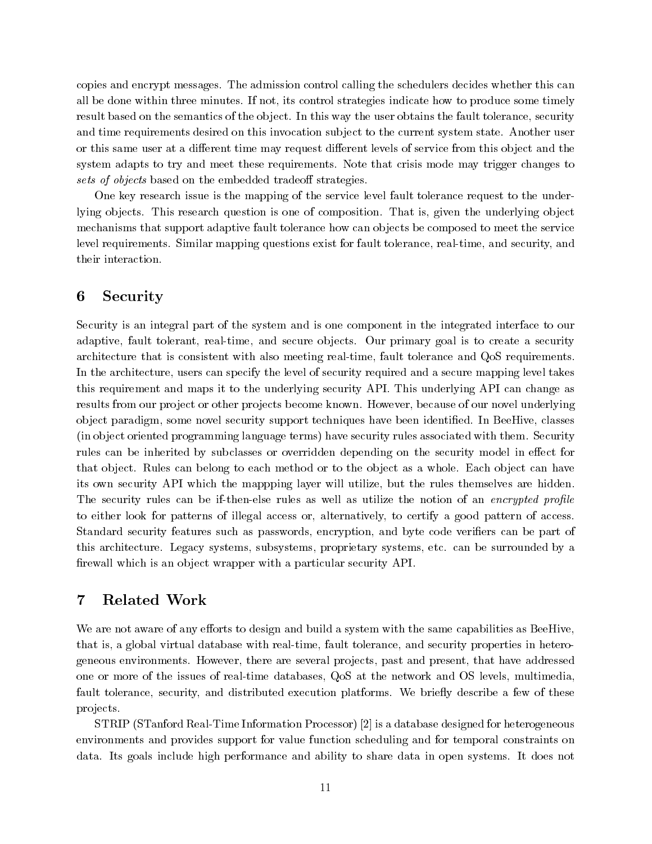copies and encrypt messages The admission control calling the schedulers decides whether this can all be done within three minutes. If not, its control strategies indicate how to produce some timely result based on the semantics of the object. In this way the user obtains the fault tolerance, security and time requirements desired on this invocation subject to the current system state. Another user or this same user at a different time may request different levels of service from this object and the system adapts to try and meet these requirements. Note that crisis mode may trigger changes to sets of objects based on the embedded tradeoff strategies.

One key research issue is the mapping of the service level fault tolerance request to the under lying objects. This research question is one of composition. That is, given the underlying object mechanisms that support adaptive fault tolerance how can objects be composed to meet the service level requirements. Similar mapping questions exist for fault tolerance, real-time, and security, and their interaction

### 6 Security

Security is an integral part of the system and is one component in the integrated interface to our adaptive, fault tolerant, real-time, and secure objects. Our primary goal is to create a security architecture that is consistent with also meeting real-time, fault tolerance and QoS requirements. In the architecture, users can specify the level of security required and a secure mapping level takes this requirement and maps it to the underlying security API This underlying API can change as results from our project or other projects become known. However, because of our novel underlying object paradigm, some novel security support techniques have been identified. In BeeHive, classes -in ob ject oriented programming language terms have security rules associated with them Security rules can be inherited by subclasses or overridden depending on the security model in effect for that object. Rules can belong to each method or to the object as a whole. Each object can have its own security API which the mappping layer will utilize, but the rules themselves are hidden. The security rules can be if-then-else rules as well as utilize the notion of an encrypted profile to either look for patterns of illegal access or, alternatively, to certify a good pattern of access. Standard security features such as passwords, encryption, and byte code verifiers can be part of this architecture. Legacy systems, subsystems, proprietary systems, etc. can be surrounded by a firewall which is an object wrapper with a particular security API.

### $\overline{7}$ Related Work

We are not aware of any efforts to design and build a system with the same capabilities as BeeHive, that is, a global virtual database with real-time, fault tolerance, and security properties in heterogeneous environments. However, there are several projects, past and present, that have addressed one or more of the issues of real-time databases, QoS at the network and OS levels, multimedia. fault tolerance, security, and distributed execution platforms. We briefly describe a few of these projects.

STRIP -STanford RealTime Information Processor is a database designed for heterogeneous environments and provides support for value function scheduling and for temporal constraints on data. Its goals include high performance and ability to share data in open systems. It does not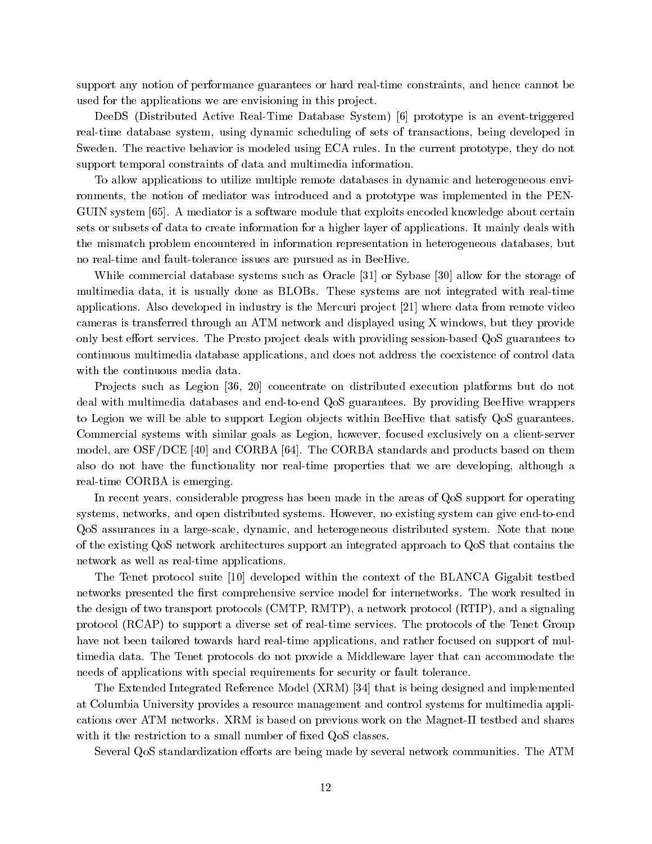support any notion of performance guarantees or hard real-time constraints, and hence cannot be used for the applications we are envisioning in this project.

DeeDS -Distributed Active RealTime Database System prototype is an eventtriggered real-time database system, using dynamic scheduling of sets of transactions, being developed in Sweden. The reactive behavior is modeled using ECA rules. In the current prototype, they do not support temporal constraints of data and multimedia information

To allow applications to utilize multiple remote databases in dynamic and heterogeneous envi ronments, the notion of mediator was introduced and a prototype was implemented in the PEN-GUIN system  $[65]$ . A mediator is a software module that exploits encoded knowledge about certain sets or subsets of data to create information for a higher layer of applications It mainly deals with the mismatch problem encountered in information representation in heterogeneous databases, but no real-time and fault-tolerance issues are pursued as in BeeHive.

While commercial database systems such as Oracle  $[31]$  or Sybase  $[30]$  allow for the storage of multimedia data, it is usually done as BLOBs. These systems are not integrated with real-time applications. Also developed in industry is the Mercuri project  $[21]$  where data from remote video cameras is transferred through an ATM network and displayed using X windows, but they provide only best effort services. The Presto project deals with providing session-based QoS guarantees to continuous multimedia database applications, and does not address the coexistence of control data with the continuous media data.

Projects such as Legion [36, 20] concentrate on distributed execution platforms but do not deal with multimedia databases and end-to-end QoS guarantees. By providing BeeHive wrappers to Legion we will be able to support Legion objects within BeeHive that satisfy QoS guarantees. Commercial systems with similar goals as Legion, however, focused exclusively on a client-server model, are OSF/DCE  $[40]$  and CORBA  $[64]$ . The CORBA standards and products based on them also do not have the functionality nor real-time properties that we are developing, although a real-time CORBA is emerging.

In recent years, considerable progress has been made in the areas of QoS support for operating systems, networks, and open distributed systems. However, no existing system can give end-to-end QoS assurances in a large-scale, dynamic, and heterogeneous distributed system. Note that none of the existing QoS network architectures support an integrated approach to QoS that contains the network as well as real-time applications.

The Tenet protocol suite [10] developed within the context of the BLANCA Gigabit testbed networks presented the first comprehensive service model for internetworks. The work resulted in the design of two transport protocols ( - ---- ( retrievely) a network protocol ( ----- ) ( ----- ) ( -------protocol - protocol as diverse set of realized and the protocols of the Tenet Tenet Tenet Group - and Tenet Gr have not been tailored towards hard real-time applications, and rather focused on support of multimedia data The Tenet protocols do not provide a Middleware layer that can accommodate the needs of applications with special requirements for security or fault tolerance

The Extended Integrated Reference Model integrated  $\mu$  is being designed and implemented and implemented and at Columbia University provides a resource management and control systems for multimedia appli cations over ATM networks. XRM is based on previous work on the Magnet-II testbed and shares with it the restriction to a small number of fixed  $Q_0S$  classes.

Several QoS standardization efforts are being made by several network communities. The ATM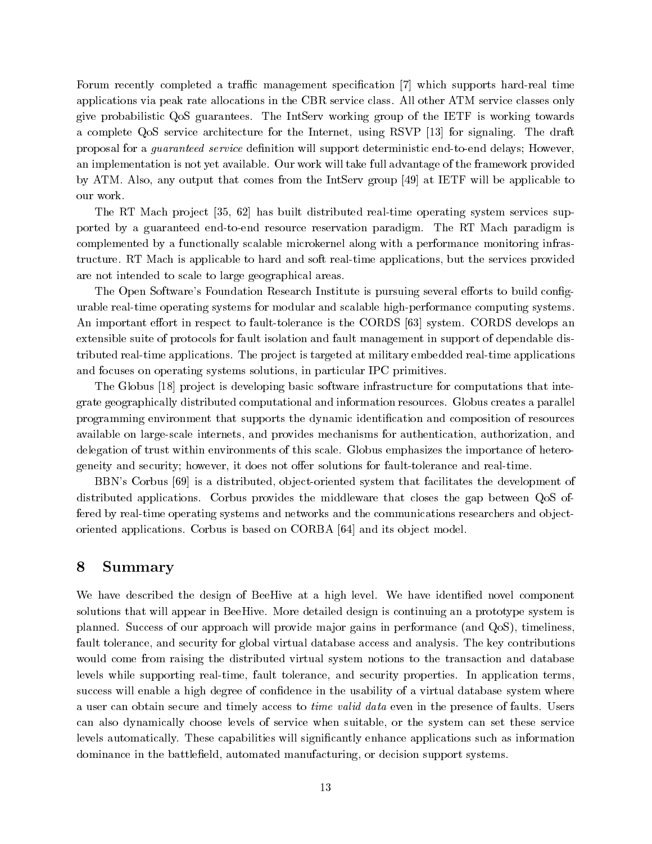Forum recently completed a traffic management specification  $|7|$  which supports hard-real time applications via peak rate allocations in the CBR service class All other ATM service classes only give probabilistic QoS guarantees The IntServ working group of the IETF is working towards a complete  $Q$  oS service architecture for the Internet, using RSVP [13] for signaling. The draft proposal for a *quaranteed service* definition will support deterministic end-to-end delays. However, an implementation is not yet available Our work will take full advantage of the framework provided by ATM. Also, any output that comes from the IntServ group  $\left[49\right]$  at IETF will be applicable to our work

The RT Mach project  $[35, 62]$  has built distributed real-time operating system services supported by a guaranteed end-to-end resource reservation paradigm. The RT Mach paradigm is complemented by a functionally scalable microkernel along with a performance monitoring infras tructure. RT Mach is applicable to hard and soft real-time applications, but the services provided are not intended to scale to large geographical areas

The Open Software s Foundation Research Institute is pursuing several eorts to build cong urable real-time operating systems for modular and scalable high-performance computing systems. An important effort in respect to fault-tolerance is the CORDS [63] system. CORDS develops an extensible suite of protocols for fault isolation and fault management in support of dependable dis tributed real-time applications. The project is targeted at military embedded real-time applications and focuses on operating systems solutions, in particular IPC primitives.

The Globus [18] project is developing basic software infrastructure for computations that inte grate geographically distributed computational and information resources Globus creates a parallel programming environment that supports the dynamic identification and composition of resources available on large-scale internets, and provides mechanisms for authentication, authorization, and delegation of trust within environments of this scale Globus emphasizes the importance of hetero geneity and security; however, it does not offer solutions for fault-tolerance and real-time.

s core cordus the state of the development of the development of the development of the development of the development of the development of the development of the development of the development of the development of the d distributed applications Corbus provides the middleware that closes the gap between QoS of fered by real-time operating systems and networks and the communications researchers and objectoriented applications. Corbus is based on CORBA [64] and its object model.

#### 8 Summary

We have described the design of BeeHive at a high level. We have identified novel component solutions that will appear in BeeHive. More detailed design is continuing an a prototype system is planned Success of our approach will provide many in gains in performance (inter  $q$  in ), interested fault tolerance, and security for global virtual database access and analysis. The key contributions would come from raising the distributed virtual system notions to the transaction and database levels while supporting real-time, fault tolerance, and security properties. In application terms. success will enable a high degree of confidence in the usability of a virtual database system where a user can obtain secure and timely access to *time valid data* even in the presence of faults. Users can also dynamically choose levels of service when suitable, or the system can set these service levels automatically These capabilities will signicantly enhance applications such as information dominance in the battlefield, automated manufacturing, or decision support systems.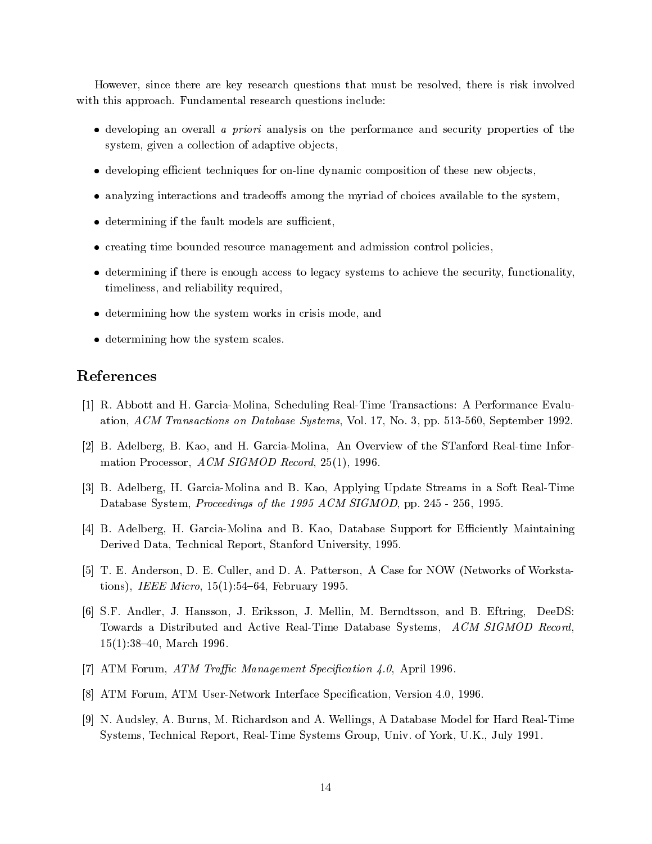However, since there are key research questions that must be resolved, there is risk involved with this approach. Fundamental research questions include:

- $\bullet$  developing an overall *a priori* analysis on the performance and security properties of the system, given a collection of adaptive objects,
- $\bullet$  developing efficient techniques for on-line dynamic composition of these new objects,
- $\bullet$  analyzing interactions and tradeofis among the myriad of choices available to the system,
- $\bullet$  determining if the fault models are sufficient,
- $\bullet$  creating time bounded resource management and admission control policies.
- $\bullet$  determining if there is enough access to legacy systems to achieve the security, functionality, timeliness, and reliability required,
- $\bullet$  determining how the system works in crisis mode, and
- $\bullet$  determining how the system scales.

# References

- [1] R. Abbott and H. Garcia-Molina, Scheduling Real-Time Transactions: A Performance Evaluation, ACM Transactions on Database Systems, Vol. 17, No. 3, pp. 513-560, September 1992.
- [2] B. Adelberg, B. Kao, and H. Garcia-Molina, An Overview of the STanford Real-time Information Processor Processor Processor Processor Processor Processor
- [3] B. Adelberg, H. Garcia-Molina and B. Kao, Applying Update Streams in a Soft Real-Time database System of the System of the System of the System of the System of the System of the System of the System of the System of the System of the System of the System of the System of the System of the System of the Sys
- [4] B. Adelberg, H. Garcia-Molina and B. Kao, Database Support for Efficiently Maintaining Derived Data, Technical Report, Stanford University, 1995.
- T E Anderson D E Culler and D A Patterson A Case for NOW -Networks of Worksta  $\mathbf{F}$  is a set of  $\mathbf{F}$  is a set of  $\mathbf{F}$  is a set of  $\mathbf{F}$  is a set of  $\mathbf{F}$
- [6] S.F. Andler, J. Hansson, J. Eriksson, J. Mellin, M. Berndtsson, and B. Eftring, DeeDS: Towards a Distributed and Active Real-Time Database Systems, ACM SIGMOD Record, and the contract of the contract of the contract of the contract of the contract of the contract of the contract of the contract of the contract of the contract of the contract of the contract of the contract of the contra
- [7] ATM Forum, ATM Traffic Management Specification 4.0, April 1996.
- [8] ATM Forum, ATM User-Network Interface Specification, Version 4.0, 1996.
- [9] N. Audsley, A. Burns, M. Richardson and A. Wellings, A Database Model for Hard Real-Time Systems, Technical Report, Real-Time Systems Group, Univ. of York, U.K., July 1991.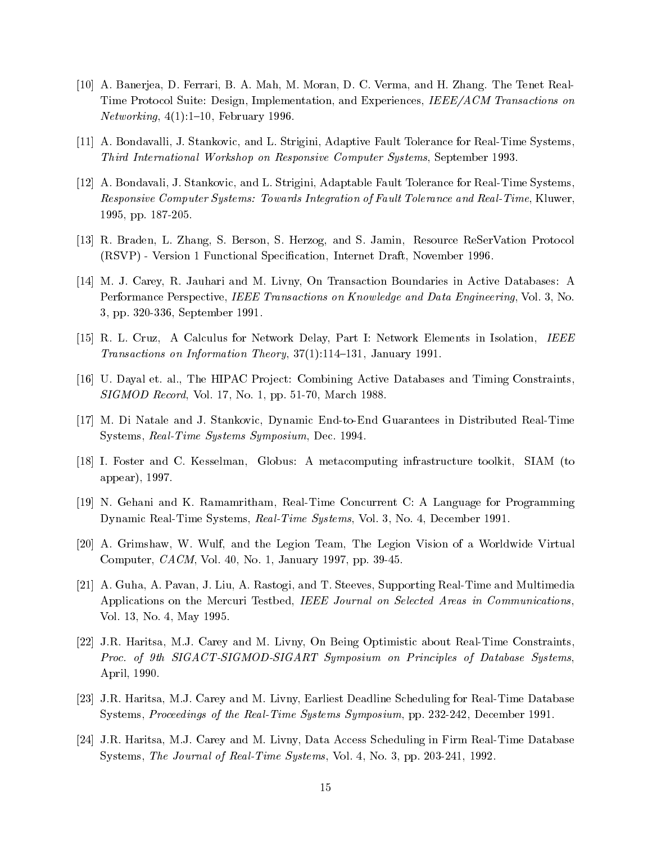- [10] A. Banerjea, D. Ferrari, B. A. Mah, M. Moran, D. C. Verma, and H. Zhang. The Tenet Real-Time Protocol Suite: Design, Implementation, and Experiences, IEEE/ACM Transactions on service in the service of the service of the service of the service of the service of the service of the service of the service of the service of the service of the service of the service of the service of the service of t
- [11] A. Bondavalli, J. Stankovic, and L. Strigini, Adaptive Fault Tolerance for Real-Time Systems, Third International Workshop on Responsive Computer Systems, September 1993.
- [12] A. Bondavali, J. Stankovic, and L. Strigini, Adaptable Fault Tolerance for Real-Time Systems. Responsive Computer Systems Towards Towards Integrations Integration of Fault Towards Integration Computer Integr 1995, pp. 187-205.
- [13] R. Braden, L. Zhang, S. Berson, S. Herzog, and S. Jamin, Resource ReSerVation Protocol -RSVP Version 
 Functional Specication Internet Draft November
- [14] M. J. Carey, R. Jauhari and M. Livny, On Transaction Boundaries in Active Databases: A Performance Perspective, *IEEE Transactions on Knowledge and Data Engineering*, Vol. 3, No. 3, pp. 320-336, September 1991.
- [15] R. L. Cruz, A Calculus for Network Delay, Part I: Network Elements in Isolation, IEEE transactions of Information Theory is the Information Theory in the Information Theory is the Information Theory in the Information Theory is the Information Theory in the Information Theory is the Information Theory in th
- [16] U. Dayal et. al., The HIPAC Project: Combining Active Databases and Timing Constraints.  $SIGMOD$  Record, Vol. 17, No. 1, pp. 51-70, March 1988.
- [17] M. Di Natale and J. Stankovic, Dynamic End-to-End Guarantees in Distributed Real-Time Systems Real - Real-Cape Chief Deciment Communication Communications of the Communication of the Communication
- I Foster and C Kesselman Globus A metacomputing infrastructure toolkit SIAM -to appear), 1997.
- [19] N. Gehani and K. Ramamritham, Real-Time Concurrent C: A Language for Programming Dynamic RealTime Systems Real-Time Systems Vol No December
- [20] A. Grimshaw, W. Wulf, and the Legion Team, The Legion Vision of a Worldwide Virtual Computer, CACM, Vol. 40, No. 1, January 1997, pp. 39-45.
- [21] A. Guha, A. Pavan, J. Liu, A. Rastogi, and T. Steeves, Supporting Real-Time and Multimedia Applications on the Mercuri Testbed, IEEE Journal on Selected Areas in Communications, Vol. 13, No. 4, May 1995.
- [22] J.R. Haritsa, M.J. Carey and M. Livny, On Being Optimistic about Real-Time Constraints. Proc of th SIGACT-SIGMOD-SIGART Symposium on Principles of Database Systems April, 1990.
- [23] J.R. Haritsa, M.J. Carey and M. Livny, Earliest Deadline Scheduling for Real-Time Database Systems Proceedings of the Real-Orient Systems Symposium pp - Proceeding December 2019
- [24] J.R. Haritsa, M.J. Carey and M. Livny, Data Access Scheduling in Firm Real-Time Database Systems The Journal of Real-Olympics of Pacific Control of Pacific Control of Pacific Control of Pacific Control of Pacific Control of Pacific Control of Pacific Control of Pacific Control of Pacific Control of Pacific Con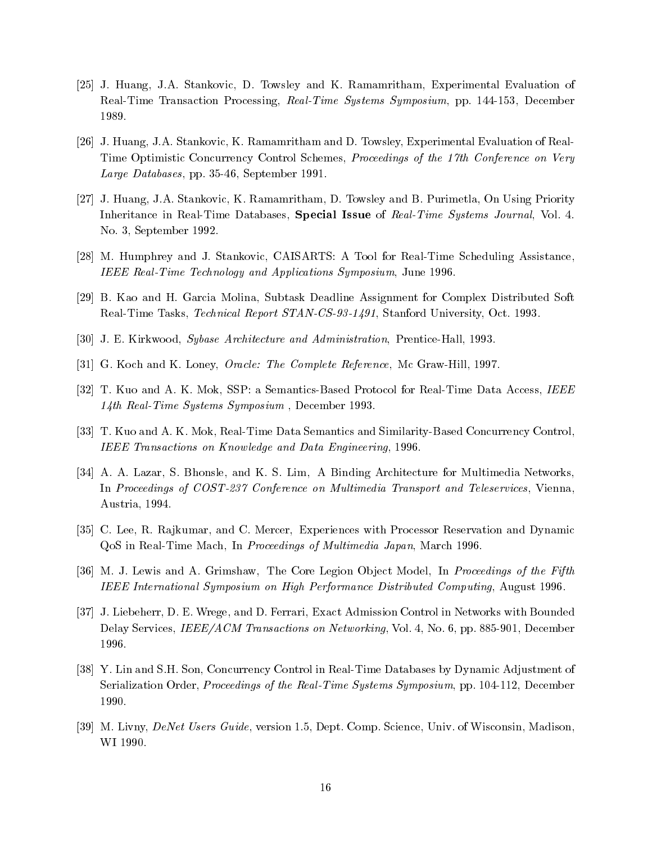- [25] J. Huang, J.A. Stankovic, D. Towsley and K. Ramamritham, Experimental Evaluation of RealTime Transaction Processing Real-Time Systems Symposium pp December 1989.
- [26] J. Huang, J.A. Stankovic, K. Ramamritham and D. Towsley, Experimental Evaluation of Real-Time Optimistic Concurrency Control Schemes, Proceedings of the 17th Conference on Very Large Databases, pp. 35-46, September 1991.
- [27] J. Huang, J.A. Stankovic, K. Ramamritham, D. Towsley and B. Purimetla, On Using Priority In the System Issue of Real-Indian Issue of Real-Indian Issue of Real-Indian Issue of Real-Indian Issue of Real-No. 3, September 1992.
- [28] M. Humphrey and J. Stankovic, CAISARTS: A Tool for Real-Time Scheduling Assistance. IEEE Real-Applications Symposium and Applications Symposium and Applications Symposium and Applications Symposium and Applications Symposium and Applications Symposium and Applications Symposium and Applications Symposium
- [29] B. Kao and H. Garcia Molina, Subtask Deadline Assignment for Complex Distributed Soft RealTime Tasks Technical Report STAN-CS- - Stanford University Oct
- [30] J. E. Kirkwood, *Sybase Architecture and Administration*, Prentice-Hall, 1993.
- [31] G. Koch and K. Loney, *Oracle: The Complete Reference*, Mc Graw-Hill, 1997.
- [32] T. Kuo and A. K. Mok, SSP: a Semantics-Based Protocol for Real-Time Data Access, IEEE the Real-Control of Chicago and Control of the System of Systems and Section of the System of System of December 2014
- [33] T. Kuo and A. K. Mok, Real-Time Data Semantics and Similarity-Based Concurrency Control. IEEE Transactions on Knowledge and Data Engineering, 1996.
- [34] A. A. Lazar, S. Bhonsle, and K. S. Lim, A Binding Architecture for Multimedia Networks, In Proceedings of COST- Conference on Multimedia Transport and Teleservices Vienna Austria, 1994.
- [35] C. Lee, R. Rajkumar, and C. Mercer, Experiences with Processor Reservation and Dynamic QoS in Real-Time Mach, In Proceedings of Multimedia Japan, March 1996.
- [36] M. J. Lewis and A. Grimshaw, The Core Legion Object Model, In *Proceedings of the Fifth* IEEE International Symposium on High Performance Distributed Computing, August 1996.
- [37] J. Liebeherr, D. E. Wrege, and D. Ferrari, Exact Admission Control in Networks with Bounded Delay Services, IEEE/ACM Transactions on Networking, Vol. 4, No. 6, pp. 885-901, December 1996.
- [38] Y. Lin and S.H. Son, Concurrency Control in Real-Time Databases by Dynamic Adjustment of systems Systems Systems Systems Systems Systems Systems Symposium pp - Proceeding Systems Systems Systems Systems 1990.
- [39] M. Livny, DeNet Users Guide, version 1.5, Dept. Comp. Science, Univ. of Wisconsin, Madison. WI 1990.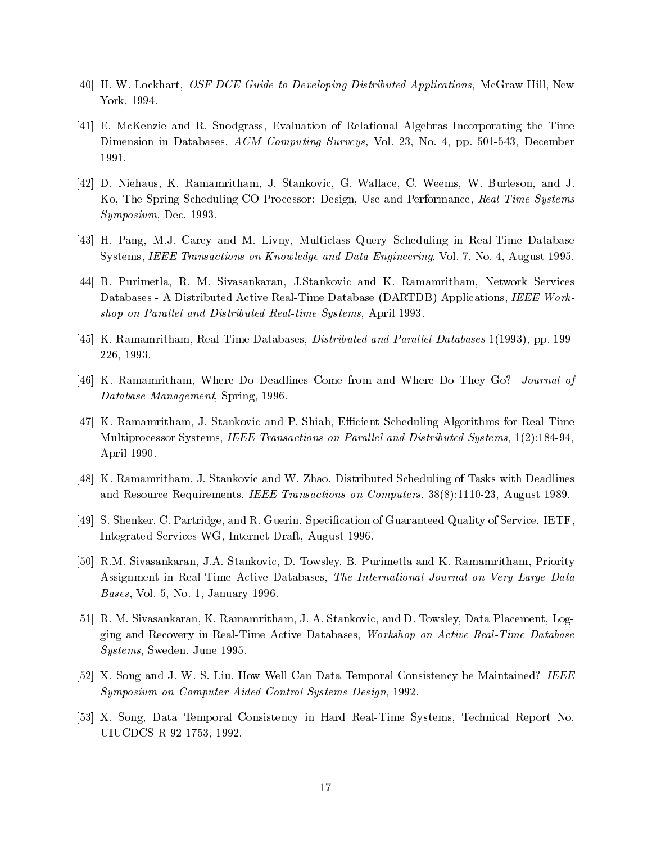- [40] H. W. Lockhart, *OSF DCE Guide to Developing Distributed Applications*, McGraw-Hill, New York, 1994.
- [41] E. McKenzie and R. Snodgrass, Evaluation of Relational Algebras Incorporating the Time Dimension in Databases, ACM Computing Surveys, Vol. 23, No. 4, pp. 501-543, December 1991.
- [42] D. Niehaus, K. Ramamritham, J. Stankovic, G. Wallace, C. Weems, W. Burleson, and J. Kori Design Scheduling Coprocessor Designed Coprocessor Designed Article Systems Design Systems Coprocessor De  $Symposium$ , Dec. 1993.
- [43] H. Pang, M.J. Carey and M. Livny, Multiclass Query Scheduling in Real-Time Database Systems, IEEE Transactions on Knowledge and Data Engineering, Vol. 7, No. 4, August 1995.
- [44] B. Purimetla, R. M. Sivasankaran, J.Stankovic and K. Ramamritham, Network Services Databases A Distributed Active RealTime Database -DARTDB Applications IEEE Workshop on Paral lel and Distributed Real-time Systems April
- K Ramamritham RealTime Databases Distributed and Paral lel Databases - pp 226, 1993.
- [46] K. Ramamritham, Where Do Deadlines Come from and Where Do They Go? Journal of Database Management, Spring, 1996.
- [47] K. Ramamritham, J. Stankovic and P. Shiah, Efficient Scheduling Algorithms for Real-Time Multiprocessor Systems IEEE Transactions on Paral lel and Distributed Systems 
- April 1990.
- [48] K. Ramamritham, J. Stankovic and W. Zhao, Distributed Scheduling of Tasks with Deadlines and Resource Resource Requirements on Computers on Computers on Computers on Computers on Computers and August
- [49] S. Shenker, C. Partridge, and R. Guerin, Specification of Guaranteed Quality of Service, IETF. Integrated Services WG, Internet Draft, August 1996.
- [50] R.M. Sivasankaran, J.A. Stankovic, D. Towsley, B. Purimetla and K. Ramamritham, Priority Assignment in Real-Time Active Databases, The International Journal on Very Large Data *Bases*, Vol. 5, No. 1, January 1996.
- [51] R. M. Sivasankaran, K. Ramamritham, J. A. Stankovic, and D. Towsley, Data Placement, Logging and Recovery in RealTime Active Databases Workshop on Active Real-Time Database  $Systems, Sweden, June 1995.$
- [52] X. Song and J. W. S. Liu, How Well Can Data Temporal Consistency be Maintained? IEEE Symposium on Computer-Aided Control Systems Design
- [53] X. Song, Data Temporal Consistency in Hard Real-Time Systems, Technical Report No. UIUCDCS-R-92-1753, 1992.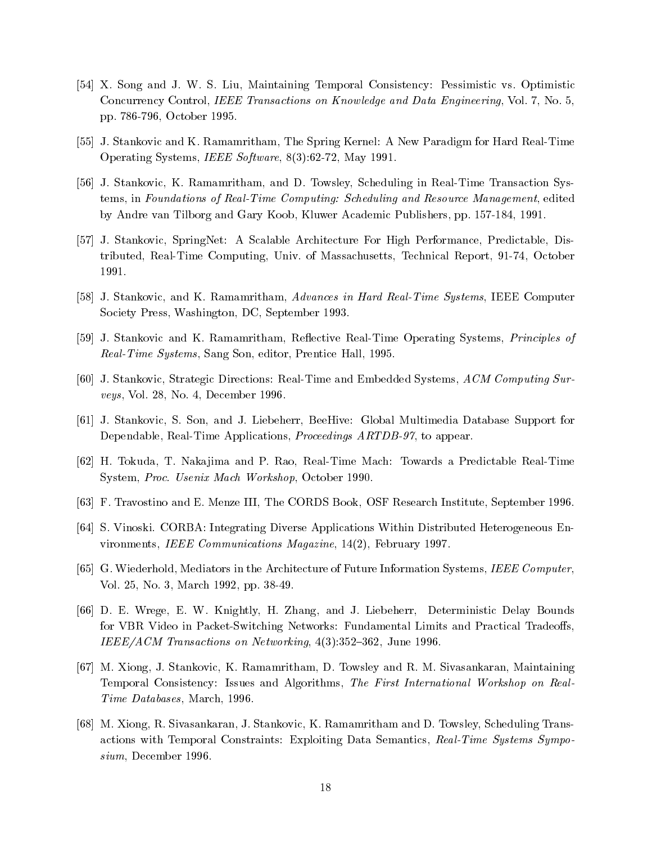- [54] X. Song and J. W. S. Liu, Maintaining Temporal Consistency: Pessimistic vs. Optimistic Concurrency Control, IEEE Transactions on Knowledge and Data Engineering, Vol. 7, No. 5. pp. 786-796, October 1995.
- [55] J. Stankovic and K. Ramamritham, The Spring Kernel: A New Paradigm for Hard Real-Time Operating Operating  $\sim$
- [56] J. Stankovic, K. Ramamritham, and D. Towsley, Scheduling in Real-Time Transaction Systems in Foundations of Real-Computing Scheduling Scheduling Scheduling Scheduling Scheduling Scheduling Scheduling by Andre van Tilborg and Gary Koob, Kluwer Academic Publishers, pp. 157-184, 1991.
- [57] J. Stankovic, SpringNet: A Scalable Architecture For High Performance, Predictable, Distributed, Real-Time Computing, Univ. of Massachusetts, Technical Report, 91-74, October 1991.
- J Stankovic and K Ramamritham Advances in Hard Real-Time Systems IEEE Computer Society Press, Washington, DC, September 1993.
- [59] J. Stankovic and K. Ramamritham, Reflective Real-Time Operating Systems, *Principles of* Real-Time Systems Sang Son editor Prentice Hall
- [60] J. Stankovic, Strategic Directions: Real-Time and Embedded Systems, ACM Computing Sur $veys,$  Vol. 28, No. 4, December 1996.
- [61] J. Stankovic, S. Son, and J. Liebeherr, BeeHive: Global Multimedia Database Support for — to appear the contract of the positions of the contractions of the contractions are the proceedings and the contract
- [62] H. Tokuda, T. Nakajima and P. Rao, Real-Time Mach: Towards a Predictable Real-Time System, Proc. Usenix Mach Workshop, October 1990.
- [63] F. Travostino and E. Menze III, The CORDS Book, OSF Research Institute, September 1996.
- [64] S. Vinoski. CORBA: Integrating Diverse Applications Within Distributed Heterogeneous Environments and the communications of the communications of the communications of the communications of the communications of the communications of the communications of the communications of the communications of the commu
- [65] G. Wiederhold, Mediators in the Architecture of Future Information Systems, IEEE Computer, Vol. 25, No. 3, March 1992, pp. 38-49.
- [66] D. E. Wrege, E. W. Knightly, H. Zhang, and J. Liebeherr, Deterministic Delay Bounds for VBR Video in Packet-Switching Networks: Fundamental Limits and Practical Tradeoffs. IEEEACM Transactions on Networking - June
- [67] M. Xiong, J. Stankovic, K. Ramamritham, D. Towsley and R. M. Sivasankaran, Maintaining Temporal Consistency: Issues and Algorithms, The First International Workshop on Real-Time Databases, March, 1996.
- [68] M. Xiong, R. Sivasankaran, J. Stankovic, K. Ramamritham and D. Towsley, Scheduling Transactions with Temporal Constraints Exploiting Data Semantics Exploiting Data Semantics Real-Adventure Data Systems Systems Systems and Data Semantics Real-Adventure Data Systems Systems Systems Systems and Data Systems Syst  $sium$ , December 1996.